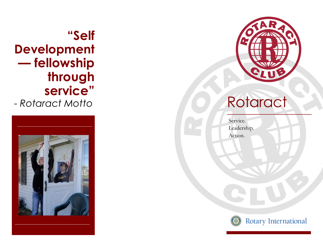# **"Self Development — fellowship through service"**

- *Rotaract Motto*





# **Rotaract**

Service. Leadership. Action.



Rotary International